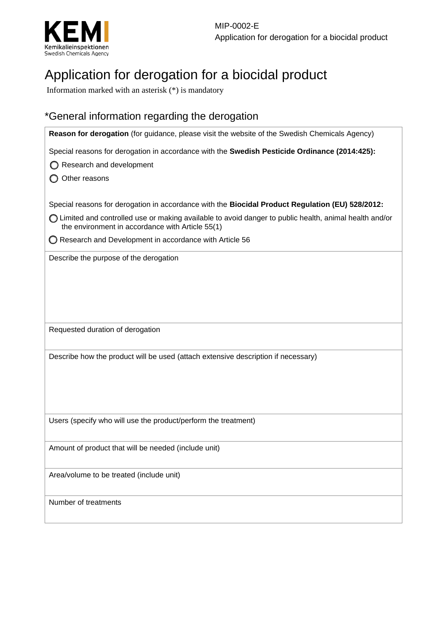

# Application for derogation for a biocidal product

Information marked with an asterisk (\*) is mandatory

## \*General information regarding the derogation

| Reason for derogation (for guidance, please visit the website of the Swedish Chemicals Agency)                                                              |
|-------------------------------------------------------------------------------------------------------------------------------------------------------------|
| Special reasons for derogation in accordance with the Swedish Pesticide Ordinance (2014:425):                                                               |
| Research and development                                                                                                                                    |
| Other reasons                                                                                                                                               |
| Special reasons for derogation in accordance with the Biocidal Product Regulation (EU) 528/2012:                                                            |
| ◯ Limited and controlled use or making available to avoid danger to public health, animal health and/or<br>the environment in accordance with Article 55(1) |
| ◯ Research and Development in accordance with Article 56                                                                                                    |
| Describe the purpose of the derogation                                                                                                                      |
| Requested duration of derogation                                                                                                                            |
| Describe how the product will be used (attach extensive description if necessary)                                                                           |
| Users (specify who will use the product/perform the treatment)                                                                                              |
| Amount of product that will be needed (include unit)                                                                                                        |
| Area/volume to be treated (include unit)                                                                                                                    |
| Number of treatments                                                                                                                                        |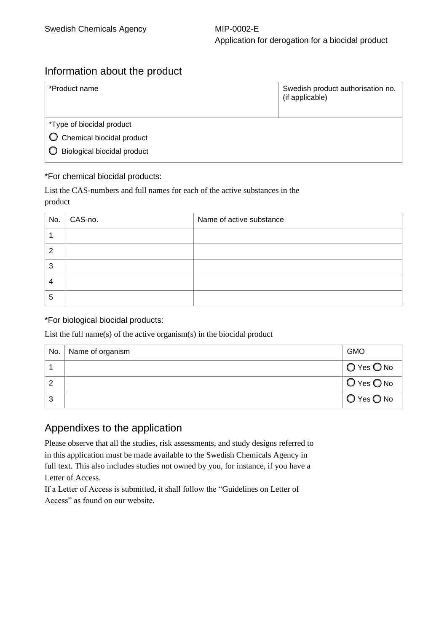# Application for derogation for a biocidal product

#### Information about the product

| Swedish product authorisation no.<br>(if applicable) |  |  |  |
|------------------------------------------------------|--|--|--|
| *Type of biocidal product                            |  |  |  |
|                                                      |  |  |  |
|                                                      |  |  |  |
|                                                      |  |  |  |

#### \*For chemical biocidal products:

List the CAS-numbers and full names for each of the active substances in the product

| No. | CAS-no. | Name of active substance |
|-----|---------|--------------------------|
|     |         |                          |
| 2   |         |                          |
| 3   |         |                          |
| 4   |         |                          |
| 5   |         |                          |

#### \*For biological biocidal products:

List the full name(s) of the active organism(s) in the biocidal product

| No. | Name of organism | <b>GMO</b>                   |
|-----|------------------|------------------------------|
|     |                  | $\bigcirc$ Yes $\bigcirc$ No |
| 2   |                  | $O$ Yes $O$ No               |
| 3   |                  | $O$ Yes $O$ No               |

#### Appendixes to the application

Please observe that all the studies, risk assessments, and study designs referred to in this application must be made available to the Swedish Chemicals Agency in full text. This also includes studies not owned by you, for instance, if you have a Letter of Access.

If a Letter of Access is submitted, it shall follow the "Guidelines on Letter of Access" as found on our website.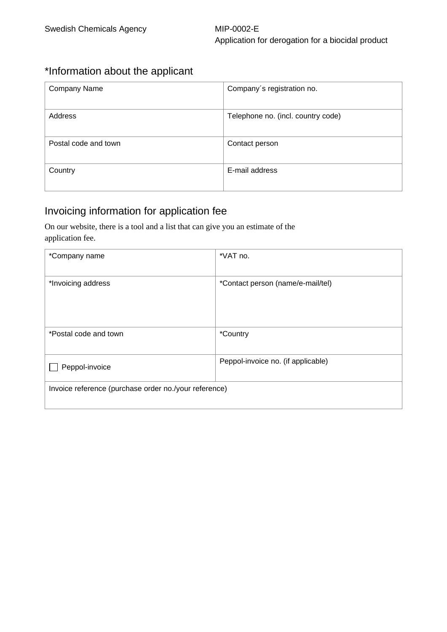### \*Information about the applicant

| <b>Company Name</b>  | Company's registration no.         |
|----------------------|------------------------------------|
| Address              | Telephone no. (incl. country code) |
| Postal code and town | Contact person                     |
| Country              | E-mail address                     |

### Invoicing information for application fee

On our website, there is a tool and a list that can give you an estimate of the application fee.

| *Company name                                         | *VAT no.                           |  |
|-------------------------------------------------------|------------------------------------|--|
| *Invoicing address                                    | *Contact person (name/e-mail/tel)  |  |
| *Postal code and town                                 | <i>*Country</i>                    |  |
| Peppol-invoice                                        | Peppol-invoice no. (if applicable) |  |
| Invoice reference (purchase order no./your reference) |                                    |  |